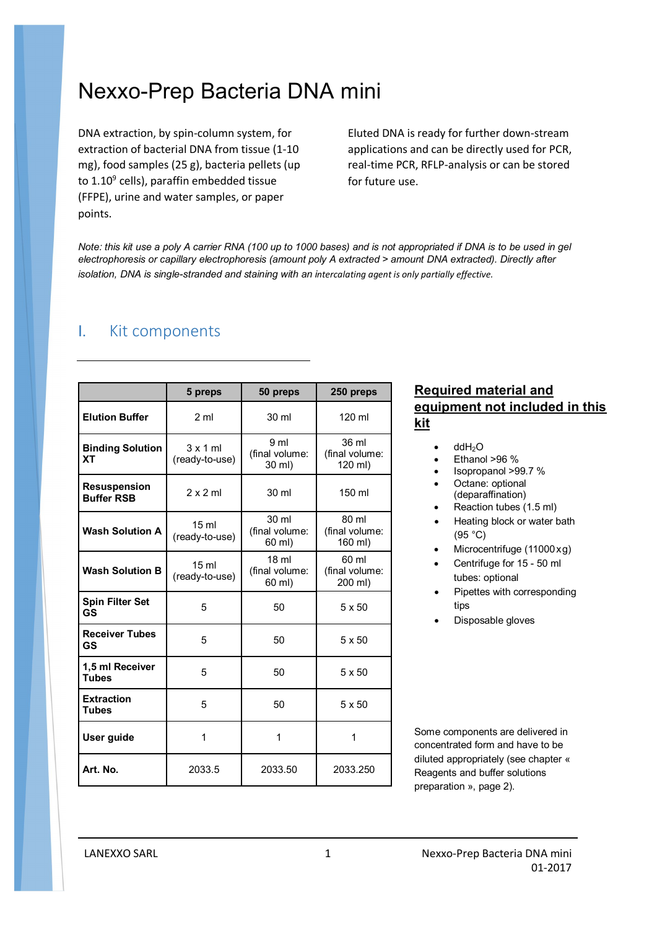# Nexxo-Prep Bacteria DNA mini

DNA extraction, by spin-column system, for extraction of bacterial DNA from tissue (1-10 mg), food samples (25 g), bacteria pellets (up to 1.10<sup>9</sup> cells), paraffin embedded tissue (FFPE), urine and water samples, or paper points.

Eluted DNA is ready for further down-stream applications and can be directly used for PCR, real-time PCR, RFLP-analysis or can be stored for future use.

Note: this kit use a poly A carrier RNA (100 up to 1000 bases) and is not appropriated if DNA is to be used in gel *electrophoresis or capillary electrophoresis (amount poly A extracted > amount DNA extracted). Directly after isolation, DNA is single-stranded and staining with an intercalating agent is only partially effective.*

### I. Kit components

|                                          | 5 preps                            | 50 preps                                     | 250 preps                            |
|------------------------------------------|------------------------------------|----------------------------------------------|--------------------------------------|
| <b>Elution Buffer</b>                    | 2 <sub>m</sub>                     | 30 ml                                        | 120 ml                               |
| <b>Binding Solution</b><br><b>XT</b>     | 3x1ml<br>(ready-to-use)            | 9 ml<br>(final volume:<br>30 ml)             | 36 ml<br>(final volume:<br>120 ml)   |
| <b>Resuspension</b><br><b>Buffer RSB</b> | $2 \times 2$ ml                    | 30 ml                                        | 150 ml                               |
| <b>Wash Solution A</b>                   | $15 \text{ ml}$<br>(ready-to-use)  | 30 ml<br>(final volume:<br>60 ml)            | 80 ml<br>(final volume:<br>160 ml)   |
| <b>Wash Solution B</b>                   | 15 <sub>ml</sub><br>(ready-to-use) | 18 <sub>ml</sub><br>(final volume:<br>60 ml) | $60$ ml<br>(final volume:<br>200 ml) |
| <b>Spin Filter Set</b><br>GS             | 5                                  | 50                                           | 5 x 50                               |
| <b>Receiver Tubes</b><br>GS              | 5                                  | 50                                           | 5 x 50                               |
| 1,5 ml Receiver<br><b>Tubes</b>          | 5                                  | 50                                           | 5 x 50                               |
| <b>Extraction</b><br><b>Tubes</b>        | 5                                  | 50                                           | 5 x 50                               |
| User guide                               | 1                                  | 1                                            | 1                                    |
| Art. No.                                 | 2033.5                             | 2033.50                                      | 2033.250                             |

### **Required material and equipment not included in this kit**

- $\bullet$  ddH<sub>2</sub>O
- Ethanol >96 %
- Isopropanol >99.7 %
- Octane: optional (deparaffination)
- Reaction tubes (1.5 ml)
- Heating block or water bath (95 °C)
- Microcentrifuge (11000xg)
- Centrifuge for 15 50 ml tubes: optional
- Pipettes with corresponding tips
- Disposable gloves

Some components are delivered in concentrated form and have to be diluted appropriately (see chapter « Reagents and buffer solutions preparation », page 2).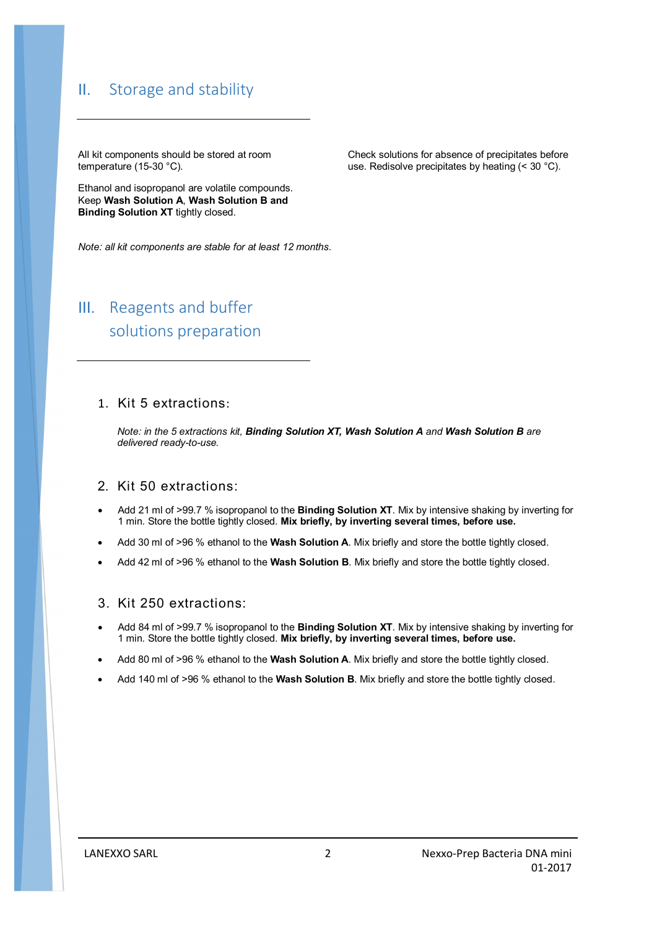## II. Storage and stability

All kit components should be stored at room temperature (15-30 °C).

Ethanol and isopropanol are volatile compounds. Keep **Wash Solution A**, **Wash Solution B and Binding Solution XT** tightly closed.

Check solutions for absence of precipitates before use. Redisolve precipitates by heating (< 30 °C).

*Note: all kit components are stable for at least 12 months.*

## III. Reagents and buffer solutions preparation

### 1. Kit 5 extractions:

*Note: in the 5 extractions kit, Binding Solution XT, Wash Solution A and Wash Solution B are delivered ready-to-use.*

### 2. Kit 50 extractions:

- Add 21 ml of >99.7 % isopropanol to the **Binding Solution XT**. Mix by intensive shaking by inverting for 1 min. Store the bottle tightly closed. **Mix briefly, by inverting several times, before use.**
- Add 30 ml of >96 % ethanol to the **Wash Solution A**. Mix briefly and store the bottle tightly closed.
- Add 42 ml of >96 % ethanol to the **Wash Solution B**. Mix briefly and store the bottle tightly closed.

### 3. Kit 250 extractions:

- Add 84 ml of >99.7 % isopropanol to the **Binding Solution XT**. Mix by intensive shaking by inverting for 1 min. Store the bottle tightly closed. **Mix briefly, by inverting several times, before use.**
- Add 80 ml of >96 % ethanol to the **Wash Solution A**. Mix briefly and store the bottle tightly closed.
- Add 140 ml of >96 % ethanol to the **Wash Solution B**. Mix briefly and store the bottle tightly closed.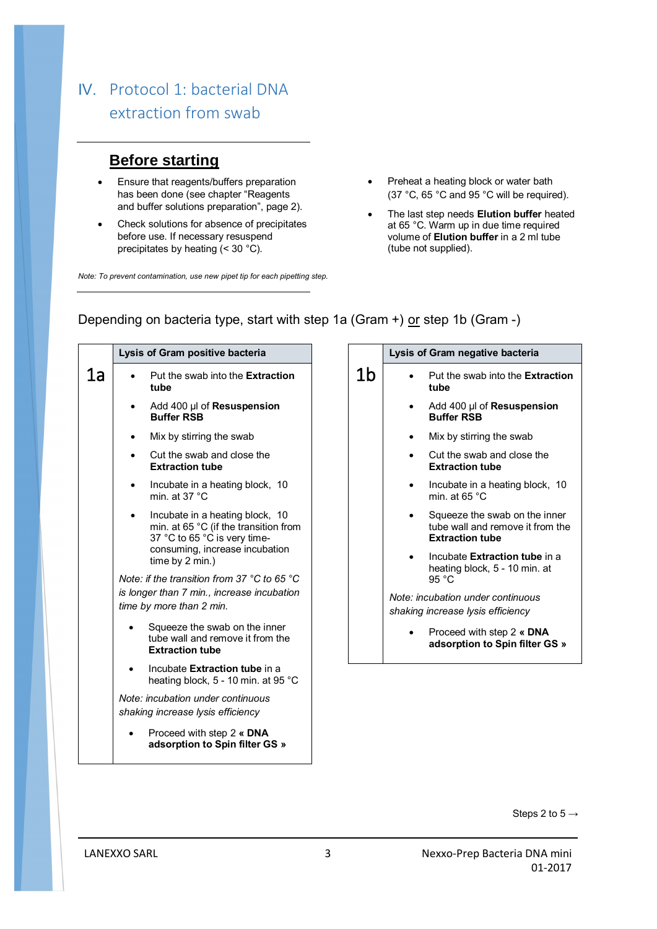## IV. Protocol 1: bacterial DNA extraction from swab

## **Before starting**

- **Ensure that reagents/buffers preparation** has been done (see chapter "Reagents and buffer solutions preparation", page 2).
- Check solutions for absence of precipitates before use. If necessary resuspend precipitates by heating (< 30 °C).

*Note: To prevent contamination, use new pipet tip for each pipetting step.*

- Preheat a heating block or water bath (37 °C, 65 °C and 95 °C will be required).
- The last step needs **Elution buffer** heated at 65 °C. Warm up in due time required volume of **Elution buffer** in a 2 ml tube (tube not supplied).

# **Lysis of Gram positive bacteria**

Depending on bacteria type, start with step 1a (Gram +) or step 1b (Gram -)

|    | PIUIII PUUILI                                                                                                                                                 |
|----|---------------------------------------------------------------------------------------------------------------------------------------------------------------|
| 1a | Put the swab into the <b>Extraction</b><br>tube                                                                                                               |
|    | Add 400 µl of Resuspension<br><b>Buffer RSB</b>                                                                                                               |
|    | Mix by stirring the swab                                                                                                                                      |
|    | Cut the swab and close the<br><b>Extraction tube</b>                                                                                                          |
|    | Incubate in a heating block, 10<br>min. at 37 $^{\circ}$ C                                                                                                    |
|    | Incubate in a heating block, 10<br>min. at 65 °C (if the transition from<br>37 °C to 65 °C is very time-<br>consuming, increase incubation<br>time by 2 min.) |
|    | Note: if the transition from 37 °C to 65 °C<br>is longer than 7 min., increase incubation<br>time by more than 2 min.                                         |
|    | Squeeze the swab on the inner<br>tube wall and remove it from the<br><b>Extraction tube</b>                                                                   |
|    | Incubate Extraction tube in a<br>heating block, 5 - 10 min. at 95 °C                                                                                          |
|    | Note: incubation under continuous<br>shaking increase lysis efficiency                                                                                        |
|    | Proceed with step 2 « DNA<br>adsorption to Spin filter GS »                                                                                                   |

|    | Lysis of Gram negative bacteria                                                             |
|----|---------------------------------------------------------------------------------------------|
| 1b | Put the swab into the <b>Extraction</b><br>tube                                             |
|    | Add 400 µl of Resuspension<br><b>Buffer RSB</b>                                             |
|    | Mix by stirring the swab                                                                    |
|    | Cut the swab and close the<br><b>Extraction tube</b>                                        |
|    | Incubate in a heating block, 10<br>min at 65 $^{\circ}$ C                                   |
|    | Squeeze the swab on the inner<br>tube wall and remove it from the<br><b>Extraction tube</b> |
|    | Incubate Extraction tube in a<br>heating block, 5 - 10 min. at<br>95 °C                     |
|    | Note: incubation under continuous<br>shaking increase lysis efficiency                      |
|    | Proceed with step 2 « DNA<br>adsorption to Spin filter GS »                                 |

Steps 2 to  $5 \rightarrow$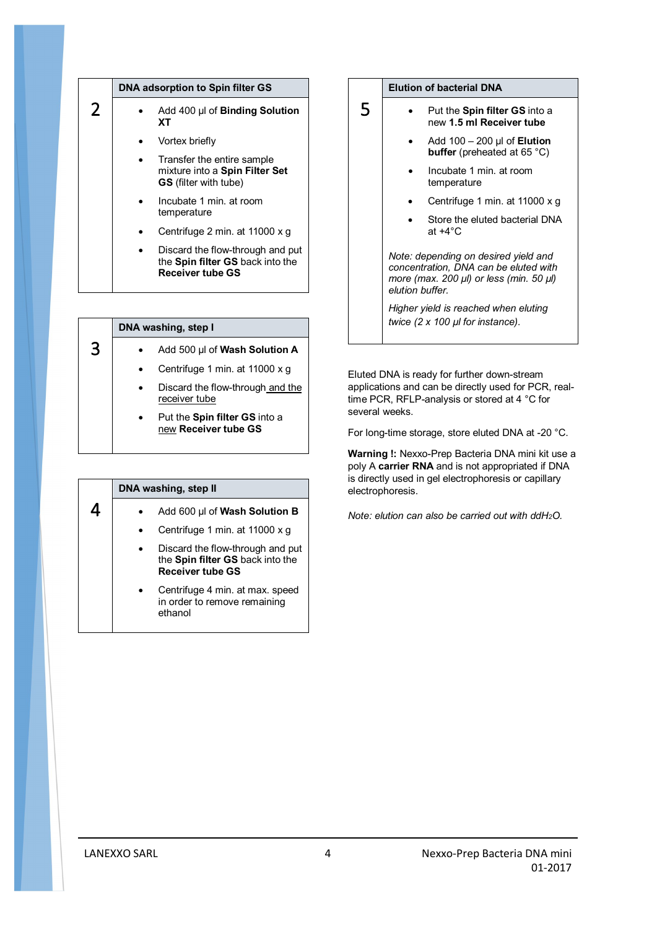|   | DNA adsorption to Spin filter GS                                                                |
|---|-------------------------------------------------------------------------------------------------|
| 2 | Add 400 µl of Binding Solution<br>XТ                                                            |
|   | Vortex briefly                                                                                  |
|   | Transfer the entire sample<br>mixture into a Spin Filter Set<br><b>GS</b> (filter with tube)    |
|   | Incubate 1 min. at room<br>temperature                                                          |
|   | Centrifuge 2 min. at 11000 x g                                                                  |
|   | Discard the flow-through and put<br>the Spin filter GS back into the<br><b>Receiver tube GS</b> |

|   | DNA washing, step I                                   |  |  |
|---|-------------------------------------------------------|--|--|
| 3 | Add 500 µl of Wash Solution A                         |  |  |
|   | Centrifuge 1 min. at 11000 x q                        |  |  |
|   | Discard the flow-through and the<br>receiver tube     |  |  |
|   | Put the Spin filter GS into a<br>new Receiver tube GS |  |  |

| DNA washing, step II                                                                            |  |
|-------------------------------------------------------------------------------------------------|--|
| Add 600 µl of Wash Solution B                                                                   |  |
| Centrifuge 1 min. at 11000 x g                                                                  |  |
| Discard the flow-through and put<br>the Spin filter GS back into the<br><b>Receiver tube GS</b> |  |
| Centrifuge 4 min. at max. speed<br>in order to remove remaining<br>ethanol                      |  |

#### **Elution of bacterial DNA**

5

- Put the **Spin filter GS** into a new **1.5 ml Receiver tube**
	- Add 100 200 µl of **Elution buffer** (preheated at 65 °C)
	- Incubate 1 min. at room temperature
	- Centrifuge 1 min. at 11000 x g
	- Store the eluted bacterial DNA at +4°C

*Note: depending on desired yield and concentration, DNA can be eluted with more (max. 200 µl) or less (min. 50 µl) elution buffer.* 

*Higher yield is reached when eluting twice (2 x 100 µl for instance).*

Eluted DNA is ready for further down-stream applications and can be directly used for PCR, realtime PCR, RFLP-analysis or stored at 4 °C for several weeks.

For long-time storage, store eluted DNA at -20 °C.

**Warning !:** Nexxo-Prep Bacteria DNA mini kit use a poly A **carrier RNA** and is not appropriated if DNA is directly used in gel electrophoresis or capillary electrophoresis.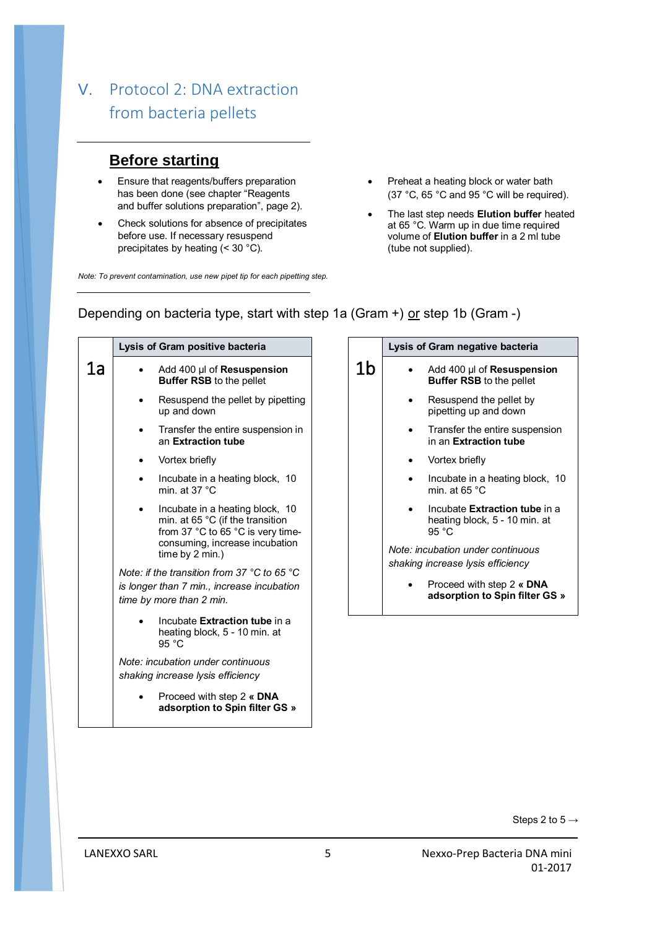## V. Protocol 2: DNA extraction from bacteria pellets

### **Before starting**

- **Ensure that reagents/buffers preparation** has been done (see chapter "Reagents and buffer solutions preparation", page 2).
- Check solutions for absence of precipitates before use. If necessary resuspend precipitates by heating (< 30 °C).

*Note: To prevent contamination, use new pipet tip for each pipetting step.*

- Preheat a heating block or water bath (37 °C, 65 °C and 95 °C will be required).
- The last step needs **Elution buffer** heated at 65 °C. Warm up in due time required volume of **Elution buffer** in a 2 ml tube (tube not supplied).

### **Lysis of Gram positive bacteria Lysis of Gram negative bacteria**

Depending on bacteria type, start with step 1a (Gram +) or step 1b (Gram -)

1b

| 1a | Add 400 µl of Resuspension<br>Buffer RSB to the pellet                                                                                                        |
|----|---------------------------------------------------------------------------------------------------------------------------------------------------------------|
|    | Resuspend the pellet by pipetting<br>up and down                                                                                                              |
|    | Transfer the entire suspension in<br>an Extraction tube                                                                                                       |
|    | Vortex briefly                                                                                                                                                |
|    | Incubate in a heating block, 10<br>min. at 37 $^{\circ}$ C                                                                                                    |
|    | Incubate in a heating block, 10<br>min. at 65 °C (if the transition<br>from 37 °C to 65 °C is very time-<br>consuming, increase incubation<br>time by 2 min.) |
|    | Note: if the transition from 37 °C to 65 °C<br>is longer than 7 min., increase incubation<br>time by more than 2 min.                                         |
|    | Incubate Extraction tube in a<br>heating block, 5 - 10 min. at<br>95 °C                                                                                       |
|    | Note: incubation under continuous<br>shaking increase lysis efficiency                                                                                        |
|    | Proceed with step 2 « DNA                                                                                                                                     |

**adsorption to Spin filter GS »**

## Add 400 µl of **Resuspension Buffer RSB** to the pellet

- Resuspend the pellet by pipetting up and down
- Transfer the entire suspension in an **Extraction tube**
- Vortex briefly
- Incubate in a heating block, 10 min. at 65 °C
- Incubate **Extraction tube** in a heating block, 5 - 10 min. at 95 °C

*Note: incubation under continuous shaking increase lysis efficiency* 

> Proceed with step 2 **« DNA adsorption to Spin filter GS »**

> > Steps 2 to  $5 \rightarrow$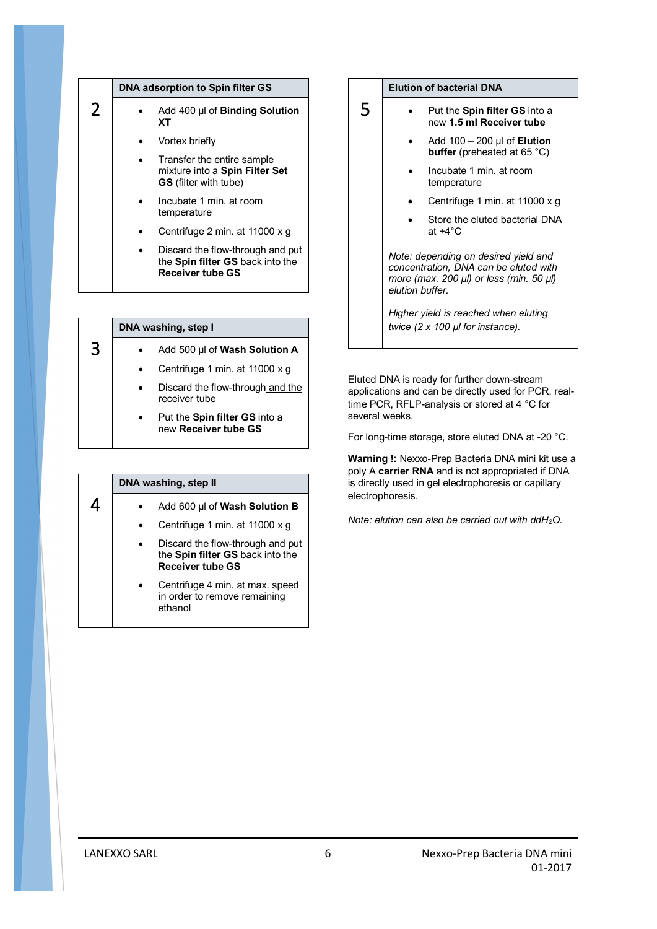|   | DNA adsorption to Spin filter GS                                                                |
|---|-------------------------------------------------------------------------------------------------|
| 2 | Add 400 µl of Binding Solution<br>XТ                                                            |
|   | Vortex briefly                                                                                  |
|   | Transfer the entire sample<br>mixture into a Spin Filter Set<br><b>GS</b> (filter with tube)    |
|   | Incubate 1 min. at room<br>temperature                                                          |
|   | Centrifuge 2 min. at 11000 x g                                                                  |
|   | Discard the flow-through and put<br>the Spin filter GS back into the<br><b>Receiver tube GS</b> |

|   | DNA washing, step I                                   |
|---|-------------------------------------------------------|
| 3 | Add 500 µl of Wash Solution A                         |
|   | Centrifuge 1 min. at 11000 x q                        |
|   | Discard the flow-through and the<br>receiver tube     |
|   | Put the Spin filter GS into a<br>new Receiver tube GS |

| DNA washing, step II                                                                            |  |
|-------------------------------------------------------------------------------------------------|--|
| Add 600 µl of Wash Solution B                                                                   |  |
| Centrifuge 1 min. at 11000 x g                                                                  |  |
| Discard the flow-through and put<br>the Spin filter GS back into the<br><b>Receiver tube GS</b> |  |
| Centrifuge 4 min. at max. speed<br>in order to remove remaining<br>ethanol                      |  |

#### **Elution of bacterial DNA**

5

- Put the **Spin filter GS** into a new **1.5 ml Receiver tube**
	- Add 100 200 µl of **Elution buffer** (preheated at 65 °C)
	- Incubate 1 min. at room temperature
	- Centrifuge 1 min. at 11000 x g
	- Store the eluted bacterial DNA at +4°C

*Note: depending on desired yield and concentration, DNA can be eluted with more (max. 200 µl) or less (min. 50 µl) elution buffer.* 

*Higher yield is reached when eluting twice (2 x 100 µl for instance).*

Eluted DNA is ready for further down-stream applications and can be directly used for PCR, realtime PCR, RFLP-analysis or stored at 4 °C for several weeks.

For long-time storage, store eluted DNA at -20 °C.

**Warning !:** Nexxo-Prep Bacteria DNA mini kit use a poly A **carrier RNA** and is not appropriated if DNA is directly used in gel electrophoresis or capillary electrophoresis.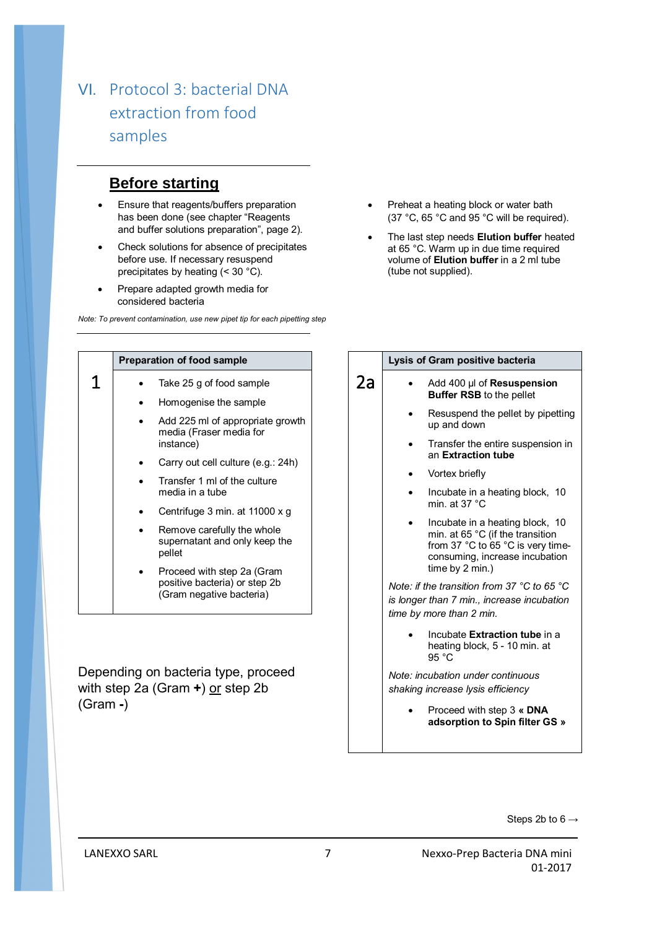## VI. Protocol 3: bacterial DNA extraction from food samples

## **Before starting**

- **Ensure that reagents/buffers preparation** has been done (see chapter "Reagents and buffer solutions preparation", page 2).
- Check solutions for absence of precipitates before use. If necessary resuspend precipitates by heating (< 30 °C).
- Prepare adapted growth media for considered bacteria

*Note: To prevent contamination, use new pipet tip for each pipetting step*

- Preheat a heating block or water bath (37 °C, 65 °C and 95 °C will be required).
- The last step needs **Elution buffer** heated at 65 °C. Warm up in due time required volume of **Elution buffer** in a 2 ml tube (tube not supplied).

|   | <b>Preparation of food sample</b>                                                       |
|---|-----------------------------------------------------------------------------------------|
| Τ | Take 25 g of food sample                                                                |
|   | Homogenise the sample                                                                   |
|   | Add 225 ml of appropriate growth<br>media (Fraser media for<br>instance)                |
|   | Carry out cell culture (e.g.: 24h)                                                      |
|   | Transfer 1 ml of the culture<br>media in a tube                                         |
|   | Centrifuge 3 min. at 11000 x g                                                          |
|   | Remove carefully the whole<br>supernatant and only keep the<br>pellet                   |
|   | Proceed with step 2a (Gram<br>positive bacteria) or step 2b<br>(Gram negative bacteria) |
|   |                                                                                         |

Depending on bacteria type, proceed with step 2a (Gram +) or step 2b (Gram **-**)

|    | Lysis of Gram positive bacteria                                                                                                                               |
|----|---------------------------------------------------------------------------------------------------------------------------------------------------------------|
| 2a | Add 400 µl of <b>Resuspension</b><br><b>Buffer RSB</b> to the pellet                                                                                          |
|    | Resuspend the pellet by pipetting<br>up and down                                                                                                              |
|    | Transfer the entire suspension in<br>an Extraction tube                                                                                                       |
|    | Vortex briefly                                                                                                                                                |
|    | Incubate in a heating block, 10<br>min. at $37 °C$                                                                                                            |
|    | Incubate in a heating block, 10<br>min. at 65 °C (if the transition<br>from 37 °C to 65 °C is very time-<br>consuming, increase incubation<br>time by 2 min.) |
|    | Note: if the transition from 37 $^{\circ}$ C to 65 $^{\circ}$ C<br>is longer than 7 min., increase incubation<br>time by more than 2 min.                     |
|    | Incubate Extraction tube in a<br>heating block, 5 - 10 min. at<br>95 $°C$                                                                                     |
|    | Note: incubation under continuous<br>shaking increase lysis efficiency                                                                                        |
|    | Proceed with step 3 « DNA<br>adsorption to Spin filter GS »                                                                                                   |
|    |                                                                                                                                                               |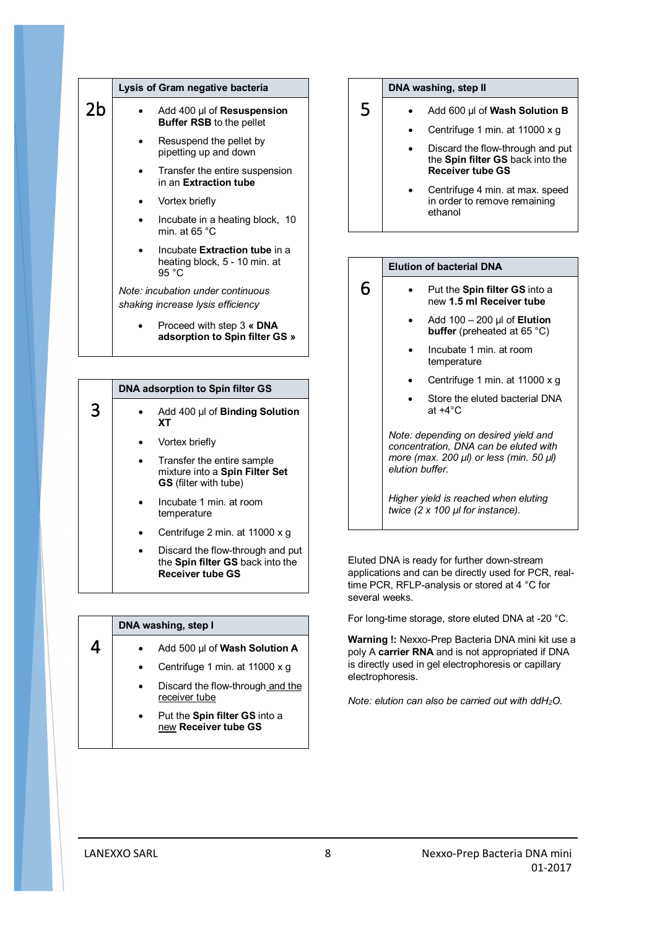|    | Lysis of Gram negative bacteria                                                   |
|----|-----------------------------------------------------------------------------------|
| 2b | Add 400 µl of <b>Resuspension</b><br><b>Buffer RSB</b> to the pellet              |
|    | Resuspend the pellet by<br>pipetting up and down                                  |
|    | Transfer the entire suspension<br>in an Extraction tube                           |
|    | Vortex briefly                                                                    |
|    | Incubate in a heating block, 10<br>min. at 65 $^{\circ}$ C                        |
|    | Incubate Extraction tube in a<br>heating block, 5 - 10 min. at<br>95 $^{\circ}$ C |
|    | Note: incubation under continuous<br>shaking increase lysis efficiency            |
|    | Proceed with step 3 « DNA<br>adsorption to Spin filter GS »                       |

|   | DNA adsorption to Spin filter GS                                                             |
|---|----------------------------------------------------------------------------------------------|
| 3 | Add 400 µl of <b>Binding Solution</b><br>ХT                                                  |
|   | Vortex briefly                                                                               |
|   | Transfer the entire sample<br>mixture into a Spin Filter Set<br><b>GS</b> (filter with tube) |
|   | Incubate 1 min. at room<br>temperature                                                       |
|   | Centrifuge 2 min. at 11000 x q                                                               |
|   | Discard the flow-through and put<br>the Spin filter GS back into the<br>Receiver tube GS     |

|  | DNA washing, step I                                   |
|--|-------------------------------------------------------|
|  | Add 500 µl of Wash Solution A                         |
|  | Centrifuge 1 min. at 11000 x g                        |
|  | Discard the flow-through and the<br>receiver tube     |
|  | Put the Spin filter GS into a<br>new Receiver tube GS |

#### **DNA washing, step II**

5

6

- Add 600 µl of **Wash Solution B**
	- Centrifuge 1 min. at 11000 x g
	- Discard the flow-through and put the **Spin filter GS** back into the **Receiver tube GS**
	- Centrifuge 4 min. at max. speed in order to remove remaining ethanol



- Put the **Spin filter GS** into a new **1.5 ml Receiver tube**
	- Add 100 200 µl of **Elution buffer** (preheated at 65 °C)
	- Incubate 1 min. at room temperature
	- Centrifuge 1 min. at 11000 x g
	- Store the eluted bacterial DNA at +4°C

*Note: depending on desired yield and concentration, DNA can be eluted with more (max. 200 µl) or less (min. 50 µl) elution buffer.* 

*Higher yield is reached when eluting twice (2 x 100 µl for instance).*

Eluted DNA is ready for further down-stream applications and can be directly used for PCR, realtime PCR, RFLP-analysis or stored at 4 °C for several weeks.

For long-time storage, store eluted DNA at -20 °C.

**Warning !:** Nexxo-Prep Bacteria DNA mini kit use a poly A **carrier RNA** and is not appropriated if DNA is directly used in gel electrophoresis or capillary electrophoresis.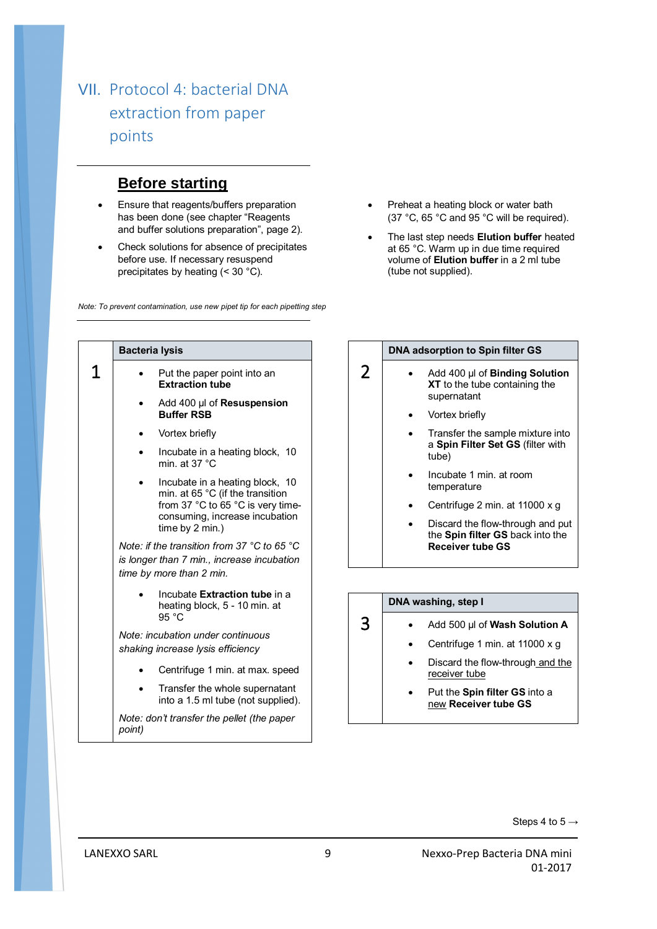## VII. Protocol 4: bacterial DNA extraction from paper points

### **Before starting**

- **Ensure that reagents/buffers preparation** has been done (see chapter "Reagents and buffer solutions preparation", page 2).
- Check solutions for absence of precipitates before use. If necessary resuspend precipitates by heating (< 30 °C).

*Note: To prevent contamination, use new pipet tip for each pipetting step*

- Preheat a heating block or water bath (37 °C, 65 °C and 95 °C will be required).
- The last step needs **Elution buffer** heated at 65 °C. Warm up in due time required volume of **Elution buffer** in a 2 ml tube (tube not supplied).

| <b>Bacteria lysis</b>                                                                                                                                         |
|---------------------------------------------------------------------------------------------------------------------------------------------------------------|
| Put the paper point into an<br><b>Extraction tube</b>                                                                                                         |
| Add 400 µl of Resuspension<br><b>Buffer RSB</b>                                                                                                               |
| Vortex briefly                                                                                                                                                |
| Incubate in a heating block, 10<br>min. at $37 °C$                                                                                                            |
| Incubate in a heating block, 10<br>min. at 65 °C (if the transition<br>from 37 °C to 65 °C is very time-<br>consuming, increase incubation<br>time by 2 min.) |
| Note: if the transition from 37 $\degree$ C to 65 $\degree$ C<br>is longer than 7 min., increase incubation<br>time by more than 2 min.                       |
| Incubate Extraction tube in a<br>heating block, 5 - 10 min. at<br>95 °C                                                                                       |
| Note: incubation under continuous<br>shaking increase lysis efficiency                                                                                        |
| Centrifuge 1 min. at max. speed                                                                                                                               |
| Transfer the whole supernatant<br>into a 1.5 ml tube (not supplied).                                                                                          |
| Note: don't transfer the pellet (the paper<br>point)                                                                                                          |

#### **DNA adsorption to Spin filter GS**

- Add 400 µl of **Binding Solution XT** to the tube containing the supernatant
	- Vortex briefly

2

3

- Transfer the sample mixture into a **Spin Filter Set GS** (filter with tube)
- Incubate 1 min. at room temperature
- Centrifuge 2 min. at 11000 x g
- Discard the flow-through and put the **Spin filter GS** back into the **Receiver tube GS**

# **DNA washing, step I**

- Add 500 µl of **Wash Solution A**
	- Centrifuge 1 min. at 11000 x g
	- Discard the flow-through and the receiver tube
	- Put the **Spin filter GS** into a new **Receiver tube GS**

Steps 4 to  $5 \rightarrow$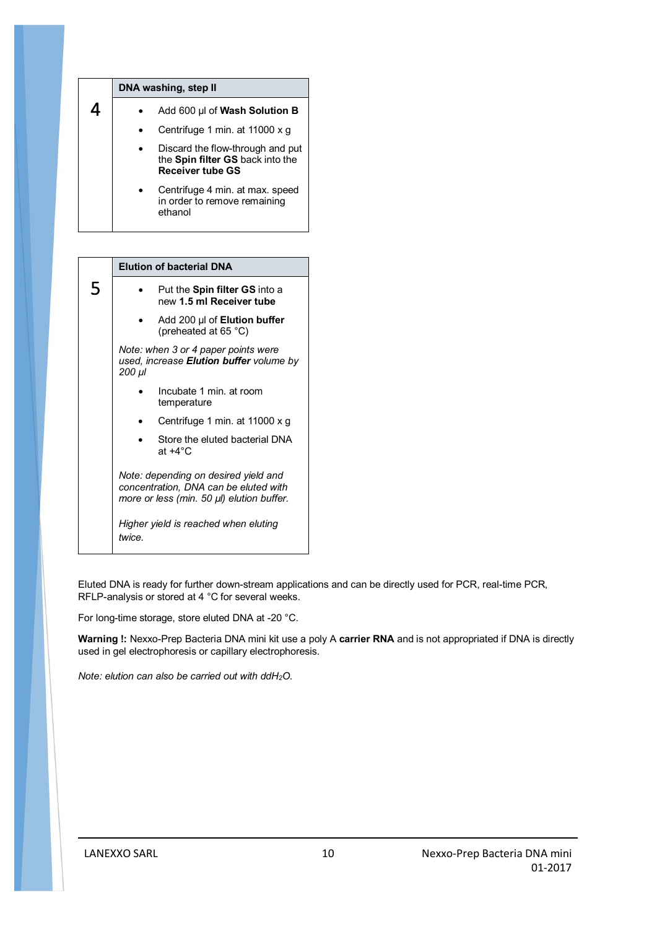| DNA washing, step II                                                                            |
|-------------------------------------------------------------------------------------------------|
| Add 600 µl of Wash Solution B                                                                   |
| Centrifuge 1 min. at 11000 x g                                                                  |
| Discard the flow-through and put<br>the Spin filter GS back into the<br><b>Receiver tube GS</b> |
| Centrifuge 4 min. at max. speed<br>in order to remove remaining<br>ethanol                      |

|   | <b>Elution of bacterial DNA</b>                                                                                            |
|---|----------------------------------------------------------------------------------------------------------------------------|
| 5 | Put the <b>Spin filter GS</b> into a<br>new 1.5 ml Receiver tube                                                           |
|   | Add 200 µl of Elution buffer<br>(preheated at 65 °C)                                                                       |
|   | Note: when 3 or 4 paper points were<br>used, increase <b>Elution buffer</b> volume by<br>200 µl                            |
|   | Incubate 1 min. at room<br>temperature                                                                                     |
|   | Centrifuge 1 min. at 11000 x g                                                                                             |
|   | Store the eluted bacterial DNA<br>at $+4^{\circ}$ C                                                                        |
|   | Note: depending on desired yield and<br>concentration, DNA can be eluted with<br>more or less (min. 50 µl) elution buffer. |
|   | Higher yield is reached when eluting<br>twice.                                                                             |
|   |                                                                                                                            |

Eluted DNA is ready for further down-stream applications and can be directly used for PCR, real-time PCR, RFLP-analysis or stored at 4 °C for several weeks.

For long-time storage, store eluted DNA at -20 °C.

**Warning !:** Nexxo-Prep Bacteria DNA mini kit use a poly A **carrier RNA** and is not appropriated if DNA is directly used in gel electrophoresis or capillary electrophoresis.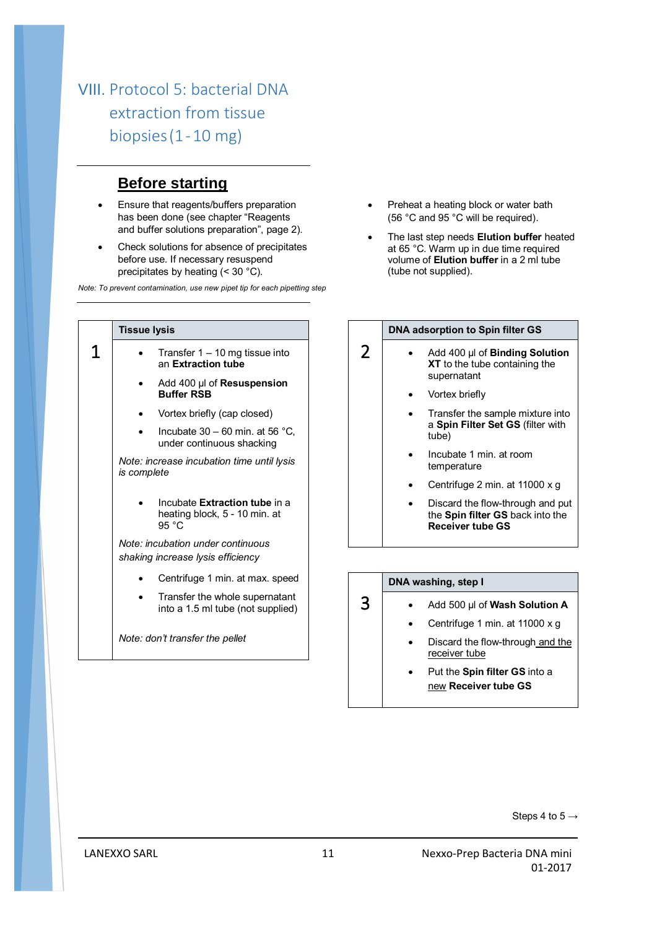## VIII. Protocol 5: bacterial DNA extraction from tissue biopsies(1-10 mg)

## **Before starting**

- **Ensure that reagents/buffers preparation** has been done (see chapter "Reagents and buffer solutions preparation", page 2).
- Check solutions for absence of precipitates before use. If necessary resuspend precipitates by heating (< 30 °C).

*Note: To prevent contamination, use new pipet tip for each pipetting step*

| <b>Tissue lysis</b>                                                               |
|-----------------------------------------------------------------------------------|
| Transfer $1 - 10$ mg tissue into<br>an Extraction tube                            |
| Add 400 µl of Resuspension<br><b>Buffer RSB</b>                                   |
| Vortex briefly (cap closed)                                                       |
| Incubate $30 - 60$ min. at 56 °C,<br>under continuous shacking                    |
| Note: increase incubation time until lysis<br>is complete                         |
| Incubate Extraction tube in a<br>heating block, 5 - 10 min. at<br>95 $^{\circ}$ C |
| Note: incubation under continuous<br>shaking increase lysis efficiency            |
| Centrifuge 1 min. at max. speed                                                   |
| Transfer the whole supernatant<br>into a 1.5 ml tube (not supplied)               |
| Note: don't transfer the pellet                                                   |

- Preheat a heating block or water bath (56 °C and 95 °C will be required).
- The last step needs **Elution buffer** heated at 65 °C. Warm up in due time required volume of **Elution buffer** in a 2 ml tube (tube not supplied).

#### **DNA adsorption to Spin filter GS**

- Add 400 µl of **Binding Solution XT** to the tube containing the supernatant
	- Vortex briefly

2

3

- Transfer the sample mixture into a **Spin Filter Set GS** (filter with tube)
- Incubate 1 min. at room temperature
- Centrifuge 2 min. at 11000 x g
- Discard the flow-through and put the **Spin filter GS** back into the **Receiver tube GS**

#### **DNA washing, step I**

- Add 500 µl of **Wash Solution A**
	- Centrifuge 1 min. at 11000 x g
	- Discard the flow-through and the receiver tube
	- Put the **Spin filter GS** into a new **Receiver tube GS**

Steps 4 to  $5 \rightarrow$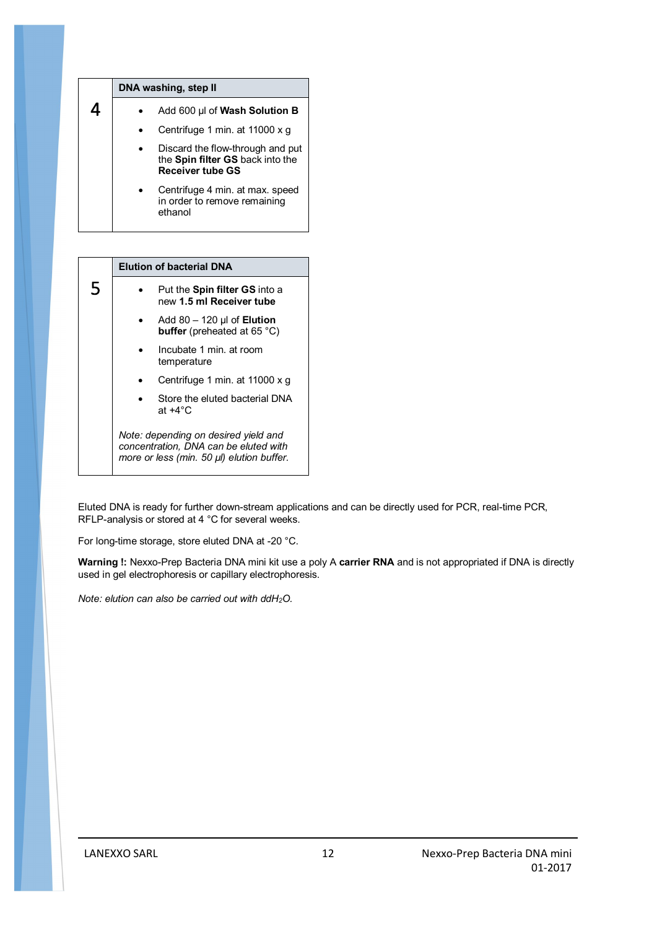| DNA washing, step II                                                                            |
|-------------------------------------------------------------------------------------------------|
| Add 600 µl of Wash Solution B                                                                   |
| Centrifuge 1 min. at 11000 x g                                                                  |
| Discard the flow-through and put<br>the Spin filter GS back into the<br><b>Receiver tube GS</b> |
| Centrifuge 4 min. at max. speed<br>in order to remove remaining<br>ethanol                      |

|   | <b>Elution of bacterial DNA</b>                                                                                            |
|---|----------------------------------------------------------------------------------------------------------------------------|
| 5 | Put the <b>Spin filter GS</b> into a<br>new 1.5 ml Receiver tube                                                           |
|   | Add $80 - 120$ µl of <b>Elution</b><br>buffer (preheated at 65 °C)                                                         |
|   | Incubate 1 min. at room<br>temperature                                                                                     |
|   | Centrifuge 1 min. at 11000 x q                                                                                             |
|   | Store the eluted bacterial DNA<br>at $+4^{\circ}$ C                                                                        |
|   | Note: depending on desired yield and<br>concentration, DNA can be eluted with<br>more or less (min. 50 µl) elution buffer. |

Eluted DNA is ready for further down-stream applications and can be directly used for PCR, real-time PCR, RFLP-analysis or stored at 4 °C for several weeks.

For long-time storage, store eluted DNA at -20 °C.

**Warning !:** Nexxo-Prep Bacteria DNA mini kit use a poly A **carrier RNA** and is not appropriated if DNA is directly used in gel electrophoresis or capillary electrophoresis.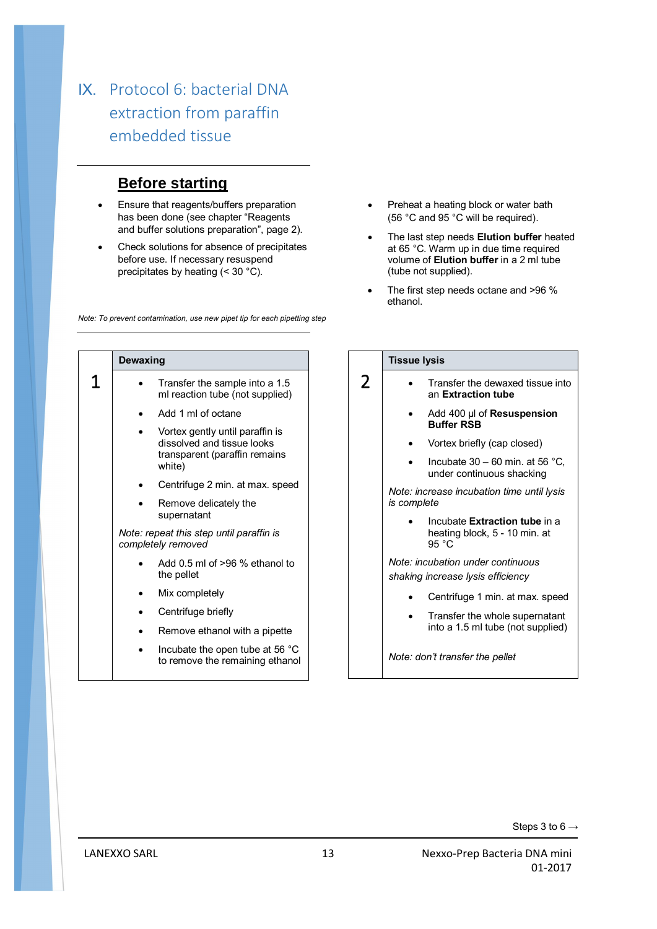## IX. Protocol 6: bacterial DNA extraction from paraffin embedded tissue

## **Before starting**

- **Ensure that reagents/buffers preparation** has been done (see chapter "Reagents and buffer solutions preparation", page 2).
- Check solutions for absence of precipitates before use. If necessary resuspend precipitates by heating (< 30 °C).

*Note: To prevent contamination, use new pipet tip for each pipetting step*

- Preheat a heating block or water bath (56 °C and 95 °C will be required).
- The last step needs **Elution buffer** heated at 65 °C. Warm up in due time required volume of **Elution buffer** in a 2 ml tube (tube not supplied).
- The first step needs octane and >96 % ethanol.

|   | Dewaxing                                                                                                 |
|---|----------------------------------------------------------------------------------------------------------|
| 1 | Transfer the sample into a 1.5<br>ml reaction tube (not supplied)                                        |
|   | Add 1 ml of octane                                                                                       |
|   | Vortex gently until paraffin is<br>dissolved and tissue looks<br>transparent (paraffin remains<br>white) |
|   | Centrifuge 2 min. at max. speed                                                                          |
|   | Remove delicately the<br>supernatant                                                                     |
|   | Note: repeat this step until paraffin is<br>completely removed                                           |
|   | Add $0.5$ ml of $>96$ % ethanol to<br>the pellet                                                         |
|   | Mix completely                                                                                           |
|   | Centrifuge briefly                                                                                       |
|   | Remove ethanol with a pipette                                                                            |
|   | Incubate the open tube at 56 °C<br>to remove the remaining ethanol                                       |

|                | <b>Tissue lysis</b>                                                     |
|----------------|-------------------------------------------------------------------------|
| $\overline{2}$ | Transfer the dewaxed tissue into<br>an Extraction tube                  |
|                | Add 400 µl of <b>Resuspension</b><br><b>Buffer RSB</b>                  |
|                | Vortex briefly (cap closed)                                             |
|                | Incubate $30 - 60$ min. at 56 °C.<br>under continuous shacking          |
|                | Note: increase incubation time until lysis<br>is complete               |
|                | Incubate Extraction tube in a<br>heating block, 5 - 10 min. at<br>95 °C |
|                | Note: incubation under continuous<br>shaking increase lysis efficiency  |
|                | Centrifuge 1 min. at max. speed                                         |
|                | Transfer the whole supernatant<br>into a 1.5 ml tube (not supplied)     |
|                | Note: don't transfer the pellet                                         |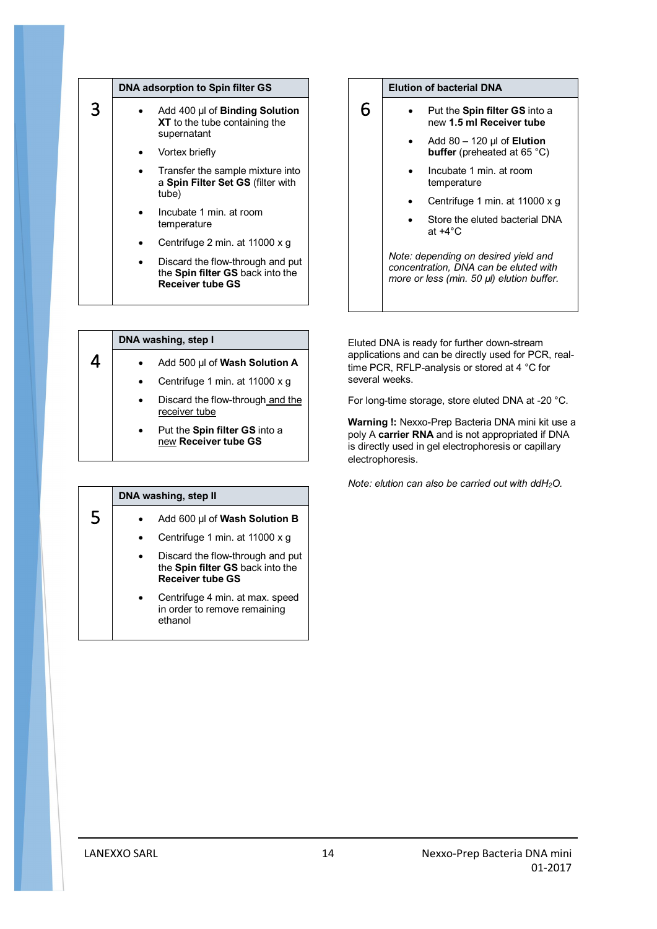| DNA adsorption to Spin filter GS                                                         |
|------------------------------------------------------------------------------------------|
| Add 400 µl of Binding Solution<br>XT to the tube containing the<br>supernatant           |
| Vortex briefly                                                                           |
| Transfer the sample mixture into<br>a Spin Filter Set GS (filter with<br>tube)           |
| Incubate 1 min. at room<br>temperature                                                   |
| Centrifuge 2 min. at 11000 x q                                                           |
| Discard the flow-through and put<br>the Spin filter GS back into the<br>Receiver tube GS |

#### **Elution of bacterial DNA**

6

- Put the **Spin filter GS** into a new **1.5 ml Receiver tube**
	- Add 80 120 µl of **Elution buffer** (preheated at 65 °C)
	- Incubate 1 min. at room temperature
	- Centrifuge 1 min. at 11000 x g
	- Store the eluted bacterial DNA at +4°C

*Note: depending on desired yield and concentration, DNA can be eluted with more or less (min. 50 µl) elution buffer.* 

| DNA washing, step I |                                                              |
|---------------------|--------------------------------------------------------------|
|                     | Add 500 µl of Wash Solution A                                |
|                     | Centrifuge 1 min. at 11000 x g                               |
|                     | Discard the flow-through and the<br>receiver tube            |
|                     | Put the <b>Spin filter GS</b> into a<br>new Receiver tube GS |

|   | DNA washing, step II |                                                                                                 |
|---|----------------------|-------------------------------------------------------------------------------------------------|
| 5 |                      | Add 600 µl of Wash Solution B                                                                   |
|   |                      | Centrifuge 1 min. at 11000 x g                                                                  |
|   |                      | Discard the flow-through and put<br>the Spin filter GS back into the<br><b>Receiver tube GS</b> |
|   | ethanol              | Centrifuge 4 min. at max. speed<br>in order to remove remaining                                 |

Eluted DNA is ready for further down-stream applications and can be directly used for PCR, realtime PCR, RFLP-analysis or stored at 4 °C for several weeks.

For long-time storage, store eluted DNA at -20 °C.

**Warning !:** Nexxo-Prep Bacteria DNA mini kit use a poly A **carrier RNA** and is not appropriated if DNA is directly used in gel electrophoresis or capillary electrophoresis.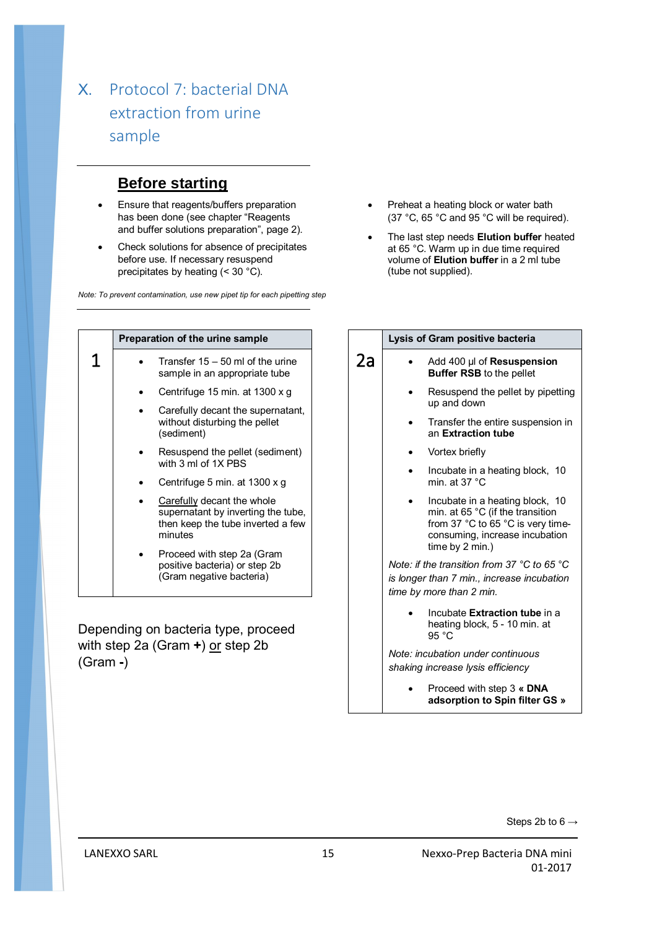## X. Protocol 7: bacterial DNA extraction from urine sample

## **Before starting**

- **Ensure that reagents/buffers preparation** has been done (see chapter "Reagents and buffer solutions preparation", page 2).
- Check solutions for absence of precipitates before use. If necessary resuspend precipitates by heating (< 30 °C).

*Note: To prevent contamination, use new pipet tip for each pipetting step*

- Preheat a heating block or water bath (37 °C, 65 °C and 95 °C will be required).
- The last step needs **Elution buffer** heated at 65 °C. Warm up in due time required volume of **Elution buffer** in a 2 ml tube (tube not supplied).

|   | Preparation of the urine sample                                                                                  |
|---|------------------------------------------------------------------------------------------------------------------|
| T | Transfer $15 - 50$ ml of the urine<br>sample in an appropriate tube                                              |
|   | Centrifuge 15 min. at 1300 x g                                                                                   |
|   | Carefully decant the supernatant,<br>without disturbing the pellet<br>(sediment)                                 |
|   | Resuspend the pellet (sediment)<br>with 3 ml of 1X PBS                                                           |
|   | Centrifuge 5 min. at 1300 x g                                                                                    |
|   | Carefully decant the whole<br>supernatant by inverting the tube,<br>then keep the tube inverted a few<br>minutes |
|   | Proceed with step 2a (Gram<br>positive bacteria) or step 2b<br>(Gram negative bacteria)                          |

Depending on bacteria type, proceed with step 2a (Gram +) or step 2b (Gram **-**)

|    | Lysis of Gram positive bacteria                                                                                                                               |  |
|----|---------------------------------------------------------------------------------------------------------------------------------------------------------------|--|
| 2a | Add 400 µl of <b>Resuspension</b><br><b>Buffer RSB</b> to the pellet                                                                                          |  |
|    | Resuspend the pellet by pipetting<br>up and down                                                                                                              |  |
|    | Transfer the entire suspension in<br>an Extraction tube                                                                                                       |  |
|    | Vortex briefly                                                                                                                                                |  |
|    | Incubate in a heating block, 10<br>min. at 37 $^{\circ}$ C                                                                                                    |  |
|    | Incubate in a heating block, 10<br>min. at 65 °C (if the transition<br>from 37 °C to 65 °C is very time-<br>consuming, increase incubation<br>time by 2 min.) |  |
|    | Note: if the transition from 37 °C to 65 °C<br>is longer than 7 min., increase incubation<br>time by more than 2 min.                                         |  |
|    | Incubate Extraction tube in a<br>heating block, 5 - 10 min. at<br>95 °C                                                                                       |  |
|    | Note: incubation under continuous<br>shaking increase lysis efficiency                                                                                        |  |
|    | $D_{\text{model}}$ with $\lambda$ and $D_{\text{model}}$ <b>DAIA</b>                                                                                          |  |

 Proceed with step 3 **« DNA adsorption to Spin filter GS »**

Steps 2b to  $6 \rightarrow$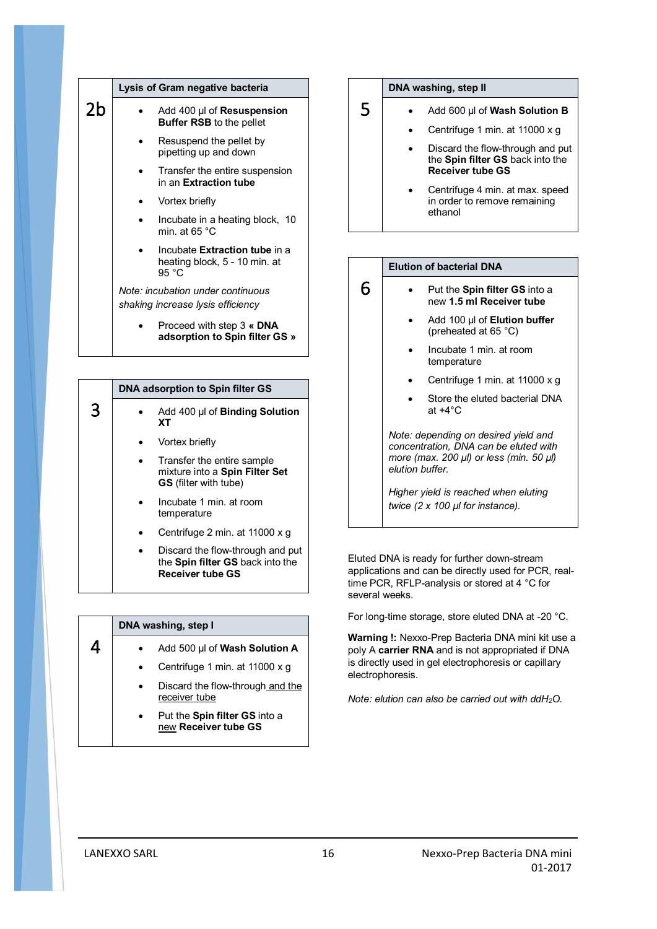|                | Lysis of Gram negative bacteria                                         |  |
|----------------|-------------------------------------------------------------------------|--|
| 2 <sub>b</sub> | Add 400 µl of <b>Resuspension</b><br><b>Buffer RSB</b> to the pellet    |  |
|                | Resuspend the pellet by<br>pipetting up and down                        |  |
|                | Transfer the entire suspension<br>in an Extraction tube                 |  |
|                | Vortex briefly                                                          |  |
|                | Incubate in a heating block, 10<br>min. at 65 $^{\circ}$ C              |  |
|                | Incubate Extraction tube in a<br>heating block, 5 - 10 min. at<br>95 °C |  |
|                | Note: incubation under continuous<br>shaking increase lysis efficiency  |  |
|                | Proceed with step 3 « DNA<br>adsorption to Spin filter GS »             |  |

|   | DNA adsorption to Spin filter GS |                                                                                              |
|---|----------------------------------|----------------------------------------------------------------------------------------------|
| 3 |                                  | Add 400 µl of Binding Solution<br>xт                                                         |
|   |                                  | Vortex briefly                                                                               |
|   |                                  | Transfer the entire sample<br>mixture into a Spin Filter Set<br><b>GS</b> (filter with tube) |
|   |                                  | Incubate 1 min. at room<br>temperature                                                       |
|   |                                  | Centrifuge 2 min. at 11000 x q                                                               |
|   |                                  | Discard the flow-through and put<br>the Spin filter GS back into the<br>Receiver tube GS     |

| DNA washing, step I |                                                       |  |
|---------------------|-------------------------------------------------------|--|
|                     | Add 500 µl of Wash Solution A                         |  |
|                     | Centrifuge 1 min. at 11000 x g                        |  |
|                     | Discard the flow-through and the<br>receiver tube     |  |
|                     | Put the Spin filter GS into a<br>new Receiver tube GS |  |

#### **DNA washing, step II**

5

6

- Add 600 µl of **Wash Solution B**
	- Centrifuge 1 min. at 11000 x g
	- Discard the flow-through and put the **Spin filter GS** back into the **Receiver tube GS**
	- Centrifuge 4 min. at max. speed in order to remove remaining ethanol



- new **1.5 ml Receiver tube**
	- Add 100 µl of **Elution buffer** (preheated at 65 °C)
	- Incubate 1 min. at room temperature
	- Centrifuge 1 min. at 11000 x g
	- Store the eluted bacterial DNA at +4°C

*Note: depending on desired yield and concentration, DNA can be eluted with more (max. 200 µl) or less (min. 50 µl) elution buffer.* 

*Higher yield is reached when eluting twice (2 x 100 µl for instance).*

Eluted DNA is ready for further down-stream applications and can be directly used for PCR, realtime PCR, RFLP-analysis or stored at 4 °C for several weeks.

For long-time storage, store eluted DNA at -20 °C.

**Warning !:** Nexxo-Prep Bacteria DNA mini kit use a poly A **carrier RNA** and is not appropriated if DNA is directly used in gel electrophoresis or capillary electrophoresis.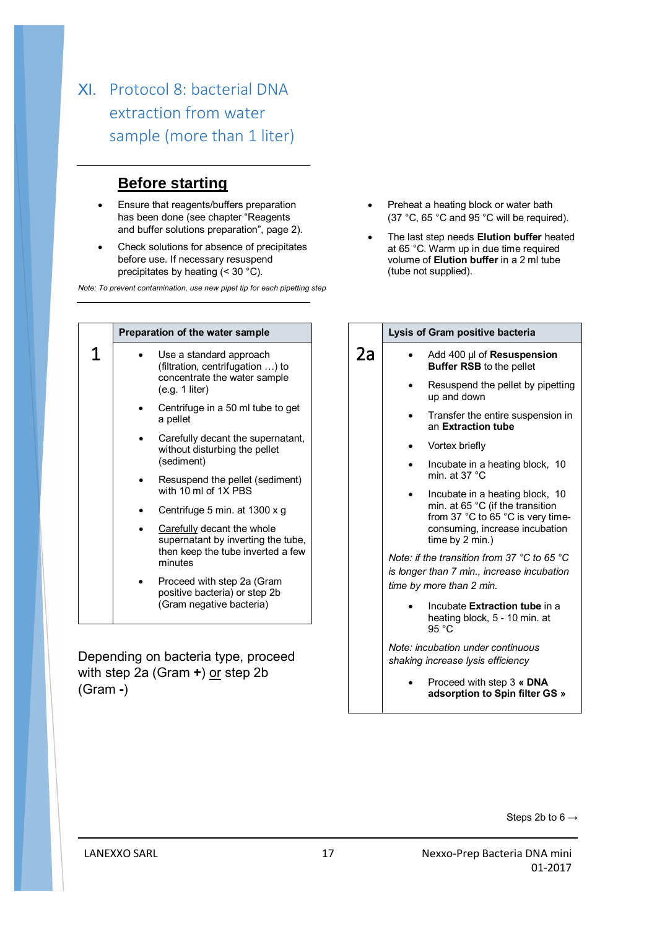## XI. Protocol 8: bacterial DNA extraction from water sample (more than 1 liter)

## **Before starting**

- Ensure that reagents/buffers preparation has been done (see chapter "Reagents and buffer solutions preparation", page 2).
- Check solutions for absence of precipitates before use. If necessary resuspend precipitates by heating (< 30 °C).

*Note: To prevent contamination, use new pipet tip for each pipetting step*

|  | Preparation of the water sample                                                                                  |
|--|------------------------------------------------------------------------------------------------------------------|
|  | Use a standard approach<br>(filtration, centrifugation ) to<br>concentrate the water sample<br>(e.g. 1 liter)    |
|  | Centrifuge in a 50 ml tube to get<br>a pellet                                                                    |
|  | Carefully decant the supernatant,<br>without disturbing the pellet<br>(sediment)                                 |
|  | Resuspend the pellet (sediment)<br>with 10 ml of 1X PBS                                                          |
|  | Centrifuge 5 min. at 1300 x g                                                                                    |
|  | Carefully decant the whole<br>supernatant by inverting the tube,<br>then keep the tube inverted a few<br>minutes |
|  | Proceed with step 2a (Gram<br>positive bacteria) or step 2b<br>(Gram negative bacteria)                          |

Depending on bacteria type, proceed with step 2a (Gram **+**) or step 2b (Gram **-**)

- Preheat a heating block or water bath (37 °C, 65 °C and 95 °C will be required).
- The last step needs **Elution buffer** heated at 65 °C. Warm up in due time required volume of **Elution buffer** in a 2 ml tube (tube not supplied).

### 2a Add 400 µl of **Resuspension Buffer RSB** to the pellet Resuspend the pellet by pipetting up and down Transfer the entire suspension in an **Extraction tube** Vortex briefly

**Lysis of Gram positive bacteria**

- Incubate in a heating block, 10 min. at 37 °C
- Incubate in a heating block, 10 min. at 65 °C (if the transition from 37 °C to 65 °C is very timeconsuming, increase incubation time by 2 min.)

*Note: if the transition from 37 °C to 65 °C is longer than 7 min., increase incubation time by more than 2 min.*

> Incubate **Extraction tube** in a heating block, 5 - 10 min. at 95 °C

*Note: incubation under continuous shaking increase lysis efficiency* 

> Proceed with step 3 **« DNA adsorption to Spin filter GS »**

> > Steps 2b to  $6 \rightarrow$